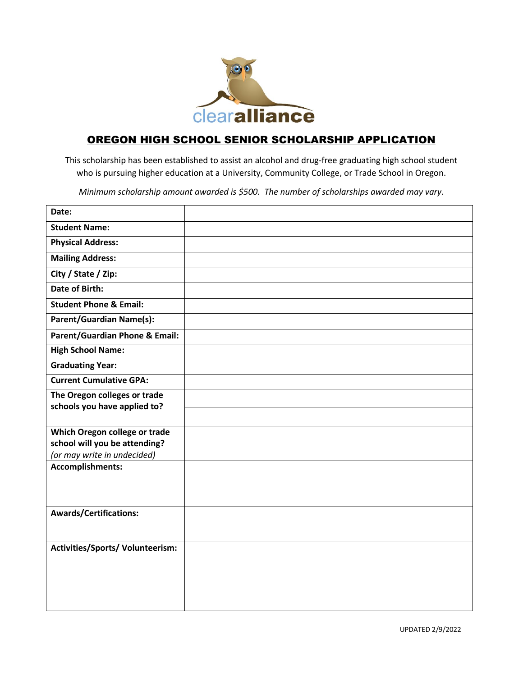

## OREGON HIGH SCHOOL SENIOR SCHOLARSHIP APPLICATION

This scholarship has been established to assist an alcohol and drug-free graduating high school student who is pursuing higher education at a University, Community College, or Trade School in Oregon.

*Minimum scholarship amount awarded is \$500. The number of scholarships awarded may vary.*

| Date:                                                  |  |
|--------------------------------------------------------|--|
| <b>Student Name:</b>                                   |  |
| <b>Physical Address:</b>                               |  |
| <b>Mailing Address:</b>                                |  |
| City / State / Zip:                                    |  |
| <b>Date of Birth:</b>                                  |  |
| <b>Student Phone &amp; Email:</b>                      |  |
| <b>Parent/Guardian Name(s):</b>                        |  |
| <b>Parent/Guardian Phone &amp; Email:</b>              |  |
| <b>High School Name:</b>                               |  |
| <b>Graduating Year:</b>                                |  |
| <b>Current Cumulative GPA:</b>                         |  |
| The Oregon colleges or trade                           |  |
| schools you have applied to?                           |  |
| Which Oregon college or trade                          |  |
| school will you be attending?                          |  |
| (or may write in undecided)<br><b>Accomplishments:</b> |  |
|                                                        |  |
|                                                        |  |
|                                                        |  |
| <b>Awards/Certifications:</b>                          |  |
|                                                        |  |
| Activities/Sports/Volunteerism:                        |  |
|                                                        |  |
|                                                        |  |
|                                                        |  |
|                                                        |  |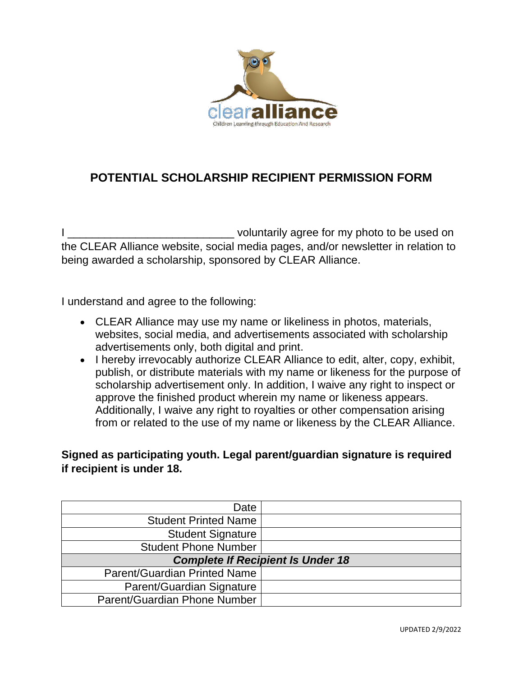

# **POTENTIAL SCHOLARSHIP RECIPIENT PERMISSION FORM**

I \_\_\_\_\_\_\_\_\_\_\_\_\_\_\_\_\_\_\_\_\_\_\_\_\_\_\_\_\_\_\_\_\_\_voluntarily agree for my photo to be used on the CLEAR Alliance website, social media pages, and/or newsletter in relation to being awarded a scholarship, sponsored by CLEAR Alliance.

I understand and agree to the following:

- CLEAR Alliance may use my name or likeliness in photos, materials, websites, social media, and advertisements associated with scholarship advertisements only, both digital and print.
- I hereby irrevocably authorize CLEAR Alliance to edit, alter, copy, exhibit, publish, or distribute materials with my name or likeness for the purpose of scholarship advertisement only. In addition, I waive any right to inspect or approve the finished product wherein my name or likeness appears. Additionally, I waive any right to royalties or other compensation arising from or related to the use of my name or likeness by the CLEAR Alliance.

### **Signed as participating youth. Legal parent/guardian signature is required if recipient is under 18.**

| Date                                     |  |  |
|------------------------------------------|--|--|
| <b>Student Printed Name</b>              |  |  |
| <b>Student Signature</b>                 |  |  |
| <b>Student Phone Number</b>              |  |  |
| <b>Complete If Recipient Is Under 18</b> |  |  |
|                                          |  |  |
| Parent/Guardian Printed Name             |  |  |
| Parent/Guardian Signature                |  |  |